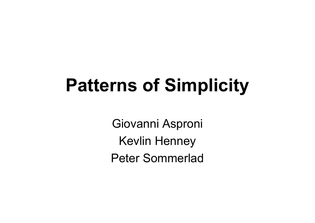# **Patterns of Simplicity**

Giovanni Asproni Kevlin Henney Peter Sommerlad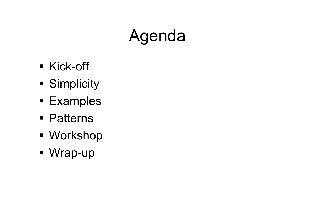# Agenda

- Kick-off
- **Simplicity**
- Examples
- Patterns
- Workshop
- Wrap-up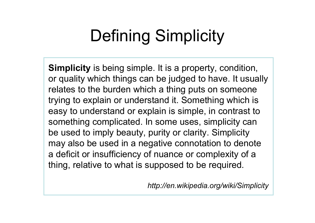## Defining Simplicity

**Simplicity** is being simple. It is a property, condition, or quality which things can be judged to have. It usually relates to the burden which a thing puts on someone trying to explain or understand it. Something which is easy to understand or explain is simple, in contrast to something complicated. In some uses, simplicity can be used to imply beauty, purity or clarity. Simplicity may also be used in a negative connotation to denote a deficit or insufficiency of nuance or complexity of a thing, relative to what is supposed to be required.

*http://en.wikipedia.org/wiki/Simplicity*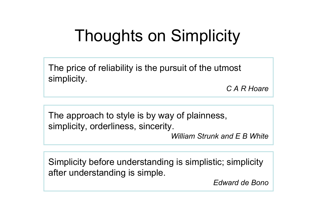## Thoughts on Simplicity

The price of reliability is the pursuit of the utmost simplicity.

*C A R Hoare*

The approach to style is by way of plainness, simplicity, orderliness, sincerity.

*William Strunk and E B White*

Simplicity before understanding is simplistic; simplicity after understanding is simple.

*Edward de Bono*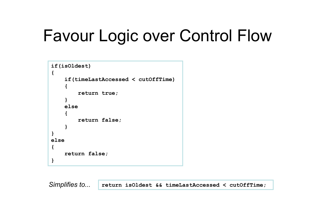### Favour Logic over Control Flow

```
if(isOldest)
{
    if(timeLastAccessed < cutOffTime)
    {
        return true;
    }
    else{
        return false;
    }
}
else{
    return false;
}
```
*Simplifies to...* **return isOldest && timeLastAccessed < cutOffTime;**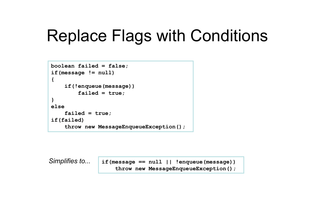#### Replace Flags with Conditions

```
boolean failed = false;
if(message != null)
{
    if(!enqueue(message))
        failed = true;
}
elsefailed = true;
if(failed)
    throw new MessageEnqueueException();
```
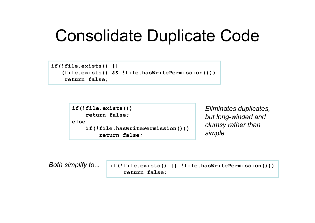#### Consolidate Duplicate Code

```
if(!file.exists() ||
   (file.exists() && !file.hasWritePermission()))
    return false;
```

```
if(!file.exists())
    return false;
elseif(!file.hasWritePermission()))
        return false;
```
*Eliminates duplicates, but long-winded and clumsy rather than simple*

```
if(!file.exists() || !file.hasWritePermission()))
                       return false;
Both simplify to...
```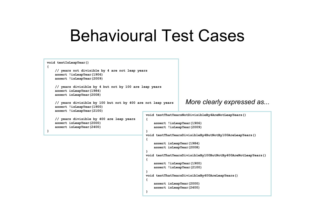#### Behavioural Test Cases

```
void testIsLeapYear()
{
    // years not divisible by 4 are not leap years
    assert !isLeapYear(1906)
    assert !isLeapYear(2009)
    // years divisible by 4 but not by 100 are leap years
    assert isLeapYear(1984)
    assert isLeapYear(2008)
    // years divisible by 100 but not by 400 are not leap years
    assert !isLeapYear(1900)
    assert !isLeapYear(2100)
    // years divisible by 400 are leap years
    assert isLeapYear(2000)
    assert isLeapYear(2400)
}
                                                 void testThatYearsNotDivisibleBy4AreNotLeapYears()
                                                 {
                                                     assert !isLeapYear(1906)
                                                     assert !isLeapYear(2009)
                                                 }
                                                 void testThatYearsDivisibleBy4ButNotBy100AreLeapYears()
                                                 {
                                                     assert isLeapYear(1984)
                                                     assert isLeapYear(2008)
                                                 }
                                                 void testThatYearsDivisibleBy100ButNotBy400AreNotLeapYears()
                                                 {
                                                     assert !isLeapYear(1900)
                                                     assert !isLeapYear(2100)
                                                 }
                                                 void testThatYearsDivisibleBy400AreLeapYears()
                                                 {
                                                     assert isLeapYear(2000)
                                                     assert isLeapYear(2400)
                                                 }
                                                                     More clearly expressed as...
```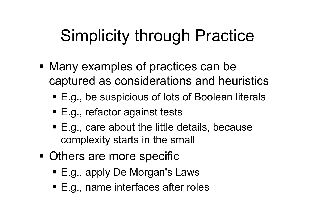### Simplicity through Practice

- Many examples of practices can be captured as considerations and heuristics
	- E.g., be suspicious of lots of Boolean literals
	- E.g., refactor against tests
	- E.g., care about the little details, because complexity starts in the small
- **Others are more specific** 
	- E.g., apply De Morgan's Laws
	- E.g., name interfaces after roles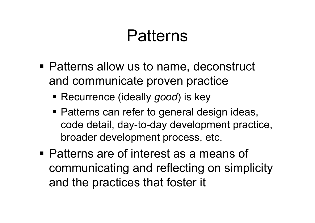#### Patterns

- Patterns allow us to name, deconstruct and communicate proven practice
	- Recurrence (ideally *good*) is key
	- **Patterns can refer to general design ideas,** code detail, day-to-day development practice, broader development process, etc.
- Patterns are of interest as a means of communicating and reflecting on simplicity and the practices that foster it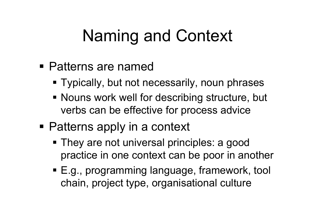### Naming and Context

- Patterns are named
	- Typically, but not necessarily, noun phrases
	- **Nouns work well for describing structure, but** verbs can be effective for process advice
- Patterns apply in a context
	- They are not universal principles: a good practice in one context can be poor in another
	- E.g., programming language, framework, tool chain, project type, organisational culture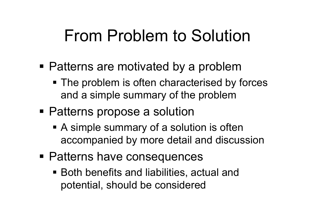#### From Problem to Solution

- Patterns are motivated by a problem
	- The problem is often characterised by forces and a simple summary of the problem
- Patterns propose a solution
	- A simple summary of a solution is often accompanied by more detail and discussion
- **Patterns have consequences** 
	- Both benefits and liabilities, actual and potential, should be considered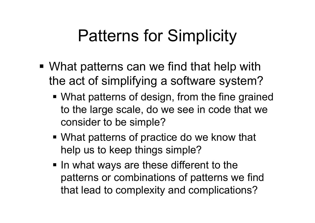### Patterns for Simplicity

- What patterns can we find that help with the act of simplifying a software system?
	- What patterns of design, from the fine grained to the large scale, do we see in code that we consider to be simple?
	- What patterns of practice do we know that help us to keep things simple?
	- In what ways are these different to the patterns or combinations of patterns we find that lead to complexity and complications?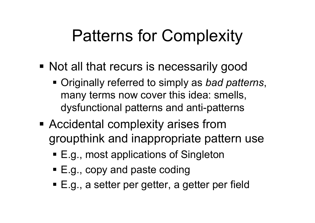### Patterns for Complexity

- **Not all that recurs is necessarily good** 
	- Originally referred to simply as *bad patterns*, many terms now cover this idea: smells, dysfunctional patterns and anti-patterns
- **Accidental complexity arises from** groupthink and inappropriate pattern use
	- E.g., most applications of Singleton
	- E.g., copy and paste coding
	- E.g., a setter per getter, a getter per field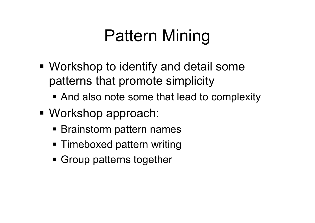## Pattern Mining

- Workshop to identify and detail some patterns that promote simplicity
	- **And also note some that lead to complexity**
- Workshop approach:
	- **Brainstorm pattern names**
	- Timeboxed pattern writing
	- Group patterns together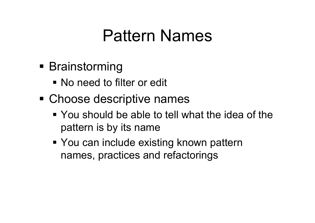#### Pattern Names

- **Brainstorming** 
	- No need to filter or edit
- Choose descriptive names
	- You should be able to tell what the idea of the pattern is by its name
	- You can include existing known pattern names, practices and refactorings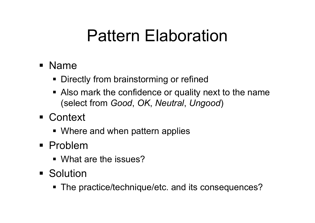#### Pattern Elaboration

- Name
	- **Directly from brainstorming or refined**
	- **Also mark the confidence or quality next to the name** (select from *Good*, *OK*, *Neutral*, *Ungood* )
- Context
	- **Where and when pattern applies**
- Problem
	- What are the issues?
- **Solution** 
	- The practice/technique/etc. and its consequences?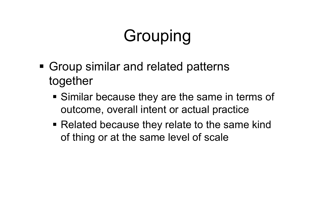# Grouping

- **Group similar and related patterns** together
	- **Similar because they are the same in terms of** outcome, overall intent or actual practice
	- Related because they relate to the same kind of thing or at the same level of scale